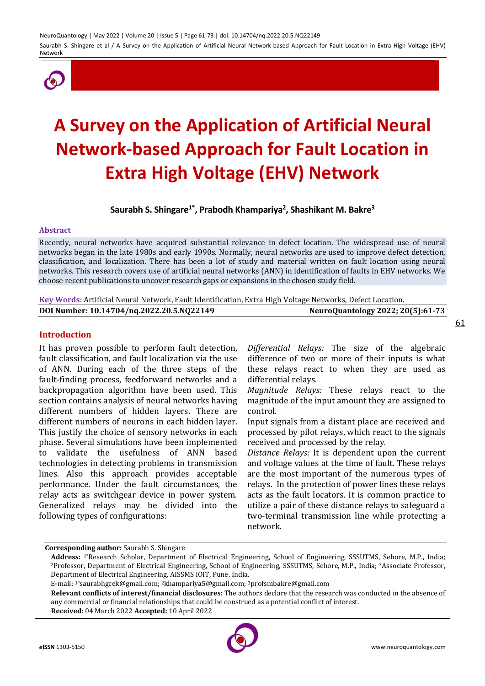

# **A Survey on the Application of Artificial Neural Network-based Approach for Fault Location in Extra High Voltage (EHV) Network**

**Saurabh S. Shingare1\* , Prabodh Khampariya<sup>2</sup> , Shashikant M. Bakre<sup>3</sup>**

## **Abstract**

Recently, neural networks have acquired substantial relevance in defect location. The widespread use of neural networks began in the late 1980s and early 1990s. Normally, neural networks are used to improve defect detection, classification, and localization. There has been a lot of study and material written on fault location using neural networks. This research covers use of artificial neural networks (ANN) in identification of faults in EHV networks. We choose recent publications to uncover research gaps or expansions in the chosen study field.

**Key Words:** Artificial Neural Network, Fault Identification, Extra High Voltage Networks, Defect Location.

| DOI Number: 10.14704/nq.2022.20.5.NQ22149 | NeuroQuantology 2022; 20(5):61-73 |
|-------------------------------------------|-----------------------------------|
|-------------------------------------------|-----------------------------------|

## **Introduction**

It has proven possible to perform fault detection, fault classification, and fault localization via the use of ANN. During each of the three steps of the fault-finding process, feedforward networks and a backpropagation algorithm have been used. This section contains analysis of neural networks having different numbers of hidden layers. There are different numbers of neurons in each hidden layer. This justify the choice of sensory networks in each phase. Several simulations have been implemented to validate the usefulness of ANN based technologies in detecting problems in transmission lines. Also this approach provides acceptable performance. Under the fault circumstances, the relay acts as switchgear device in power system. Generalized relays may be divided into the following types of configurations:

*Differential Relays:* The size of the algebraic difference of two or more of their inputs is what these relays react to when they are used as differential relays.

*Magnitude Relays:* These relays react to the magnitude of the input amount they are assigned to control.

Input signals from a distant place are received and processed by pilot relays, which react to the signals received and processed by the relay.

*Distance Relays:* It is dependent upon the current and voltage values at the time of fault. These relays are the most important of the numerous types of relays. In the protection of power lines these relays acts as the fault locators. It is common practice to utilize a pair of these distance relays to safeguard a two-terminal transmission line while protecting a network.

**Corresponding author:** Saurabh S. Shingare

**Received:** 04 March 2022 **Accepted:** 10 April 2022



**Address:** 1\*Research Scholar, Department of Electrical Engineering, School of Engineering, SSSUTMS, Sehore, M.P., India; <sup>2</sup>Professor, Department of Electrical Engineering, School of Engineering, SSSUTMS, Sehore, M.P., India; <sup>3</sup>Associate Professor, Department of Electrical Engineering, AISSMS IOIT, Pune, India.

E-mail: 1\*saurabhgcek@gmail.com; <sup>2</sup>khampariya5@gmail.com; <sup>3</sup>profsmbakre@gmail.com

**Relevant conflicts of interest/financial disclosures:** The authors declare that the research was conducted in the absence of any commercial or financial relationships that could be construed as a potential conflict of interest.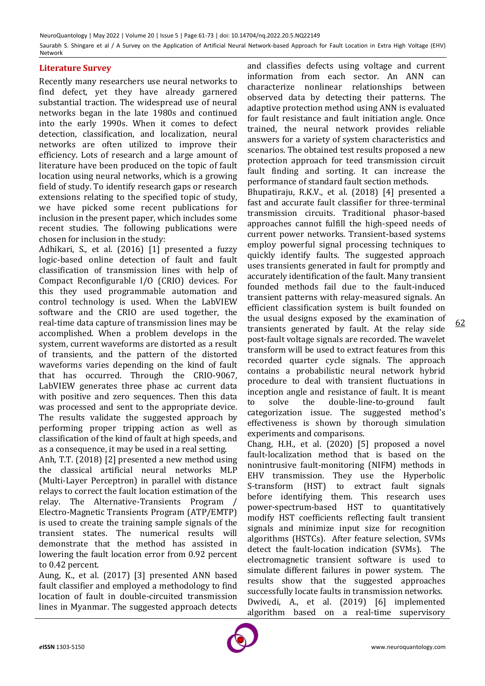## **Literature Survey**

Recently many researchers use neural networks to find defect, yet they have already garnered substantial traction. The widespread use of neural networks began in the late 1980s and continued into the early 1990s. When it comes to defect detection, classification, and localization, neural networks are often utilized to improve their efficiency. Lots of research and a large amount of literature have been produced on the topic of fault location using neural networks, which is a growing field of study. To identify research gaps or research extensions relating to the specified topic of study, we have picked some recent publications for inclusion in the present paper, which includes some recent studies. The following publications were chosen for inclusion in the study:

Adhikari, S., et al. (2016) [1] presented a fuzzy logic-based online detection of fault and fault classification of transmission lines with help of Compact Reconfigurable I/O (CRIO) devices. For this they used programmable automation and control technology is used. When the LabVIEW software and the CRIO are used together, the real-time data capture of transmission lines may be accomplished. When a problem develops in the system, current waveforms are distorted as a result of transients, and the pattern of the distorted waveforms varies depending on the kind of fault that has occurred. Through the CRIO-9067, LabVIEW generates three phase ac current data with positive and zero sequences. Then this data was processed and sent to the appropriate device. The results validate the suggested approach by performing proper tripping action as well as classification of the kind of fault at high speeds, and as a consequence, it may be used in a real setting.

Anh, T.T. (2018) [2] presented a new method using the classical artificial neural networks MLP (Multi-Layer Perceptron) in parallel with distance relays to correct the fault location estimation of the relay. The Alternative-Transients Program / Electro-Magnetic Transients Program (ATP/EMTP) is used to create the training sample signals of the transient states. The numerical results will demonstrate that the method has assisted in lowering the fault location error from 0.92 percent to 0.42 percent.

Aung, K., et al. (2017) [3] presented ANN based fault classifier and employed a methodology to find location of fault in double-circuited transmission lines in Myanmar. The suggested approach detects and classifies defects using voltage and current information from each sector. An ANN can characterize nonlinear relationships between observed data by detecting their patterns. The adaptive protection method using ANN is evaluated for fault resistance and fault initiation angle. Once trained, the neural network provides reliable answers for a variety of system characteristics and scenarios. The obtained test results proposed a new protection approach for teed transmission circuit fault finding and sorting. It can increase the performance of standard fault section methods.

Bhupatiraju, R.K.V., et al. (2018) [4] presented a fast and accurate fault classifier for three-terminal transmission circuits. Traditional phasor-based approaches cannot fulfill the high-speed needs of current power networks. Transient-based systems employ powerful signal processing techniques to quickly identify faults. The suggested approach uses transients generated in fault for promptly and accurately identification of the fault. Many transient founded methods fail due to the fault-induced transient patterns with relay-measured signals. An efficient classification system is built founded on the usual designs exposed by the examination of transients generated by fault. At the relay side post-fault voltage signals are recorded. The wavelet transform will be used to extract features from this recorded quarter cycle signals. The approach contains a probabilistic neural network hybrid procedure to deal with transient fluctuations in inception angle and resistance of fault. It is meant to solve the double-line-to-ground fault categorization issue. The suggested method's effectiveness is shown by thorough simulation experiments and comparisons.

Chang, H.H., et al. (2020) [5] proposed a novel fault-localization method that is based on the nonintrusive fault-monitoring (NIFM) methods in EHV transmission. They use the Hyperbolic S-transform (HST) to extract fault signals before identifying them. This research uses power-spectrum-based HST to quantitatively modify HST coefficients reflecting fault transient signals and minimize input size for recognition algorithms (HSTCs). After feature selection, SVMs detect the fault-location indication (SVMs). The electromagnetic transient software is used to simulate different failures in power system. The results show that the suggested approaches successfully locate faults in transmission networks. Dwivedi, A., et al. (2019) [6] implemented algorithm based on a real-time supervisory

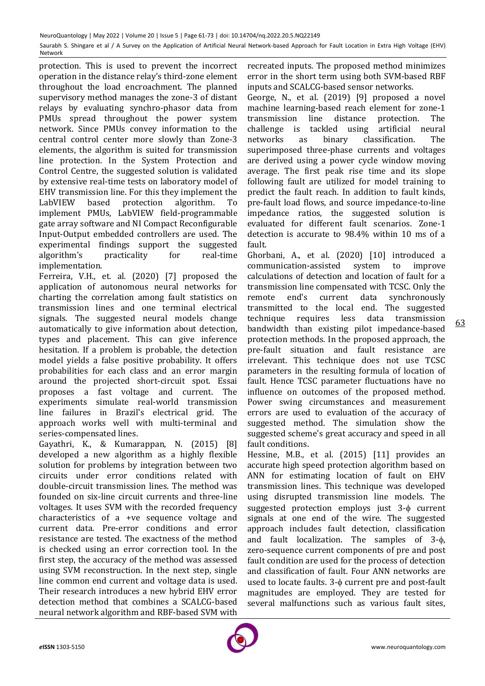protection. This is used to prevent the incorrect operation in the distance relay's third-zone element throughout the load encroachment. The planned supervisory method manages the zone-3 of distant relays by evaluating synchro-phasor data from PMUs spread throughout the power system network. Since PMUs convey information to the central control center more slowly than Zone-3 elements, the algorithm is suited for transmission line protection. In the System Protection and Control Centre, the suggested solution is validated by extensive real-time tests on laboratory model of EHV transmission line. For this they implement the LabVIEW based protection algorithm. To implement PMUs, LabVIEW field-programmable gate array software and NI Compact Reconfigurable Input-Output embedded controllers are used. The experimental findings support the suggested algorithm's practicality for real-time implementation.

Ferreira, V.H., et. al. (2020) [7] proposed the application of autonomous neural networks for charting the correlation among fault statistics on transmission lines and one terminal electrical signals. The suggested neural models change automatically to give information about detection, types and placement. This can give inference hesitation. If a problem is probable, the detection model yields a false positive probability. It offers probabilities for each class and an error margin around the projected short-circuit spot. Essai proposes a fast voltage and current. The experiments simulate real-world transmission line failures in Brazil's electrical grid. The approach works well with multi-terminal and series-compensated lines.

Gayathri, K., & Kumarappan, N. (2015) [8] developed a new algorithm as a highly flexible solution for problems by integration between two circuits under error conditions related with double-circuit transmission lines. The method was founded on six-line circuit currents and three-line voltages. It uses SVM with the recorded frequency characteristics of a +ve sequence voltage and current data. Pre-error conditions and error resistance are tested. The exactness of the method is checked using an error correction tool. In the first step, the accuracy of the method was assessed using SVM reconstruction. In the next step, single line common end current and voltage data is used. Their research introduces a new hybrid EHV error detection method that combines a SCALCG-based neural network algorithm and RBF-based SVM with

recreated inputs. The proposed method minimizes error in the short term using both SVM-based RBF inputs and SCALCG-based sensor networks.

George, N., et al. (2019) [9] proposed a novel machine learning-based reach element for zone-1 transmission line distance protection. The challenge is tackled using artificial neural networks as binary classification. The superimposed three-phase currents and voltages are derived using a power cycle window moving average. The first peak rise time and its slope following fault are utilized for model training to predict the fault reach. In addition to fault kinds, pre-fault load flows, and source impedance-to-line impedance ratios, the suggested solution is evaluated for different fault scenarios. Zone-1 detection is accurate to 98.4% within 10 ms of a fault.

Ghorbani, A., et al. (2020) [10] introduced a communication-assisted system to improve calculations of detection and location of fault for a transmission line compensated with TCSC. Only the remote end's current data synchronously transmitted to the local end. The suggested technique requires less data transmission bandwidth than existing pilot impedance-based protection methods. In the proposed approach, the pre-fault situation and fault resistance are irrelevant. This technique does not use TCSC parameters in the resulting formula of location of fault. Hence TCSC parameter fluctuations have no influence on outcomes of the proposed method. Power swing circumstances and measurement errors are used to evaluation of the accuracy of suggested method. The simulation show the suggested scheme's great accuracy and speed in all fault conditions.

Hessine, M.B., et al. (2015) [11] provides an accurate high speed protection algorithm based on ANN for estimating location of fault on EHV transmission lines. This technique was developed using disrupted transmission line models. The suggested protection employs just  $3-\phi$  current signals at one end of the wire. The suggested approach includes fault detection, classification and fault localization. The samples of  $3-\phi$ , zero-sequence current components of pre and post fault condition are used for the process of detection and classification of fault. Four ANN networks are used to locate faults.  $3-\phi$  current pre and post-fault magnitudes are employed. They are tested for several malfunctions such as various fault sites,

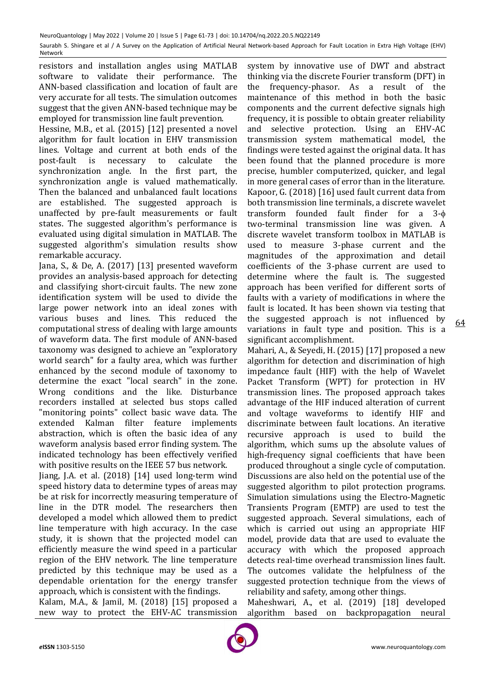resistors and installation angles using MATLAB software to validate their performance. The ANN-based classification and location of fault are very accurate for all tests. The simulation outcomes suggest that the given ANN-based technique may be employed for transmission line fault prevention.

Hessine, M.B., et al. (2015) [12] presented a novel algorithm for fault location in EHV transmission lines. Voltage and current at both ends of the post-fault is necessary to calculate the synchronization angle. In the first part, the synchronization angle is valued mathematically. Then the balanced and unbalanced fault locations are established. The suggested approach is unaffected by pre-fault measurements or fault states. The suggested algorithm's performance is evaluated using digital simulation in MATLAB. The suggested algorithm's simulation results show remarkable accuracy.

Jana, S., & De, A. (2017) [13] presented waveform provides an analysis-based approach for detecting and classifying short-circuit faults. The new zone identification system will be used to divide the large power network into an ideal zones with various buses and lines. This reduced the computational stress of dealing with large amounts of waveform data. The first module of ANN-based taxonomy was designed to achieve an "exploratory world search" for a faulty area, which was further enhanced by the second module of taxonomy to determine the exact "local search" in the zone. Wrong conditions and the like. Disturbance recorders installed at selected bus stops called "monitoring points" collect basic wave data. The extended Kalman filter feature implements abstraction, which is often the basic idea of any waveform analysis based error finding system. The indicated technology has been effectively verified with positive results on the IEEE 57 bus network.

Jiang, J.A. et al. (2018) [14] used long-term wind speed history data to determine types of areas may be at risk for incorrectly measuring temperature of line in the DTR model. The researchers then developed a model which allowed them to predict line temperature with high accuracy. In the case study, it is shown that the projected model can efficiently measure the wind speed in a particular region of the EHV network. The line temperature predicted by this technique may be used as a dependable orientation for the energy transfer approach, which is consistent with the findings.

Kalam, M.A., & Jamil, M. (2018) [15] proposed a new way to protect the EHV-AC transmission

system by innovative use of DWT and abstract thinking via the discrete Fourier transform (DFT) in the frequency-phasor. As a result of the maintenance of this method in both the basic components and the current defective signals high frequency, it is possible to obtain greater reliability and selective protection. Using an EHV-AC transmission system mathematical model, the findings were tested against the original data. It has been found that the planned procedure is more precise, humbler computerized, quicker, and legal in more general cases of error than in the literature. Kapoor, G. (2018) [16] used fault current data from both transmission line terminals, a discrete wavelet transform founded fault finder for a 3 two-terminal transmission line was given. A discrete wavelet transform toolbox in MATLAB is used to measure 3-phase current and the magnitudes of the approximation and detail coefficients of the 3-phase current are used to determine where the fault is. The suggested approach has been verified for different sorts of faults with a variety of modifications in where the fault is located. It has been shown via testing that the suggested approach is not influenced by variations in fault type and position. This is a significant accomplishment.

Mahari, A., & Seyedi, H. (2015) [17] proposed a new algorithm for detection and discrimination of high impedance fault (HIF) with the help of Wavelet Packet Transform (WPT) for protection in HV transmission lines. The proposed approach takes advantage of the HIF induced alteration of current and voltage waveforms to identify HIF and discriminate between fault locations. An iterative recursive approach is used to build the algorithm, which sums up the absolute values of high-frequency signal coefficients that have been produced throughout a single cycle of computation. Discussions are also held on the potential use of the suggested algorithm to pilot protection programs. Simulation simulations using the Electro-Magnetic Transients Program (EMTP) are used to test the suggested approach. Several simulations, each of which is carried out using an appropriate HIF model, provide data that are used to evaluate the accuracy with which the proposed approach detects real-time overhead transmission lines fault. The outcomes validate the helpfulness of the suggested protection technique from the views of reliability and safety, among other things.

Maheshwari, A., et al. (2019) [18] developed algorithm based on backpropagation neural

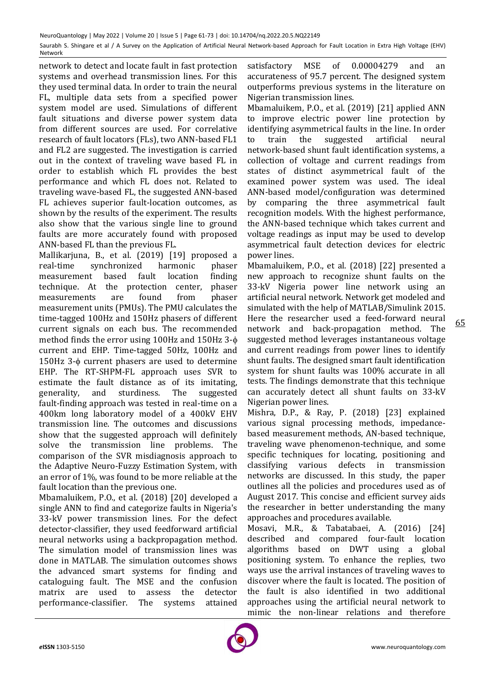network to detect and locate fault in fast protection systems and overhead transmission lines. For this they used terminal data. In order to train the neural FL, multiple data sets from a specified power system model are used. Simulations of different fault situations and diverse power system data from different sources are used. For correlative research of fault locators (FLs), two ANN-based FL1 and FL2 are suggested. The investigation is carried out in the context of traveling wave based FL in order to establish which FL provides the best performance and which FL does not. Related to traveling wave-based FL, the suggested ANN-based FL achieves superior fault-location outcomes, as shown by the results of the experiment. The results also show that the various single line to ground faults are more accurately found with proposed ANN-based FL than the previous FL.

Mallikarjuna, B., et al. (2019) [19] proposed a real-time synchronized harmonic phaser measurement based fault location finding technique. At the protection center, phaser measurements are found from phaser measurement units (PMUs). The PMU calculates the time-tagged 100Hz and 150Hz phasers of different current signals on each bus. The recommended method finds the error using 100Hz and 150Hz 3 current and EHP. Time-tagged 50Hz, 100Hz and 150Hz 3- $\phi$  current phasers are used to determine EHP. The RT-SHPM-FL approach uses SVR to estimate the fault distance as of its imitating, generality, and sturdiness. The suggested fault-finding approach was tested in real-time on a 400km long laboratory model of a 400kV EHV transmission line. The outcomes and discussions show that the suggested approach will definitely solve the transmission line problems. The comparison of the SVR misdiagnosis approach to the Adaptive Neuro-Fuzzy Estimation System, with an error of 1%, was found to be more reliable at the fault location than the previous one.

Mbamaluikem, P.O., et al. (2018) [20] developed a single ANN to find and categorize faults in Nigeria's 33-kV power transmission lines. For the defect detector-classifier, they used feedforward artificial neural networks using a backpropagation method. The simulation model of transmission lines was done in MATLAB. The simulation outcomes shows the advanced smart systems for finding and cataloguing fault. The MSE and the confusion matrix are used to assess the detector performance-classifier. The systems attained

satisfactory MSE of 0.00004279 and an accurateness of 95.7 percent. The designed system outperforms previous systems in the literature on Nigerian transmission lines.

Mbamaluikem, P.O., et al. (2019) [21] applied ANN to improve electric power line protection by identifying asymmetrical faults in the line. In order to train the suggested artificial neural network-based shunt fault identification systems, a collection of voltage and current readings from states of distinct asymmetrical fault of the examined power system was used. The ideal ANN-based model/configuration was determined by comparing the three asymmetrical fault recognition models. With the highest performance, the ANN-based technique which takes current and voltage readings as input may be used to develop asymmetrical fault detection devices for electric power lines.

Mbamaluikem, P.O., et al. (2018) [22] presented a new approach to recognize shunt faults on the 33-kV Nigeria power line network using an artificial neural network. Network get modeled and simulated with the help of MATLAB/Simulink 2015. Here the researcher used a feed-forward neural network and back-propagation method. The suggested method leverages instantaneous voltage and current readings from power lines to identify shunt faults. The designed smart fault identification system for shunt faults was 100% accurate in all tests. The findings demonstrate that this technique can accurately detect all shunt faults on 33-kV Nigerian power lines.

Mishra, D.P., & Ray, P. (2018) [23] explained various signal processing methods, impedancebased measurement methods, AN-based technique, traveling wave phenomenon-technique, and some specific techniques for locating, positioning and classifying various defects in transmission networks are discussed. In this study, the paper outlines all the policies and procedures used as of August 2017. This concise and efficient survey aids the researcher in better understanding the many approaches and procedures available.

Mosavi, M.R., & Tabatabaei, A. (2016) [24] described and compared four-fault location algorithms based on DWT using a global positioning system. To enhance the replies, two ways use the arrival instances of traveling waves to discover where the fault is located. The position of the fault is also identified in two additional approaches using the artificial neural network to mimic the non-linear relations and therefore

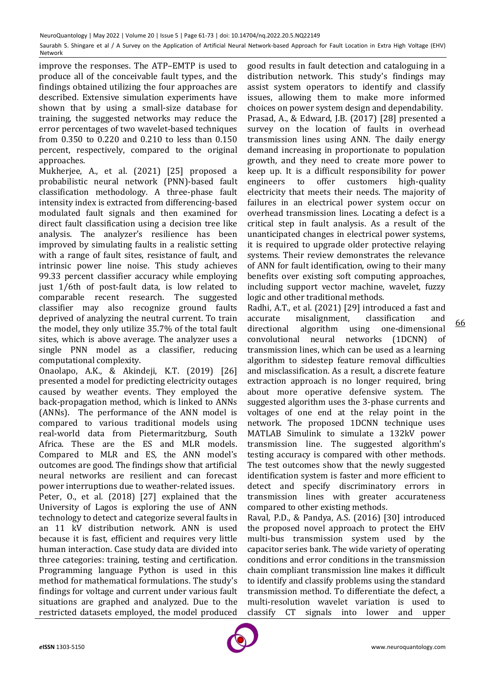improve the responses. The ATP–EMTP is used to produce all of the conceivable fault types, and the findings obtained utilizing the four approaches are described. Extensive simulation experiments have shown that by using a small-size database for training, the suggested networks may reduce the error percentages of two wavelet-based techniques from 0.350 to 0.220 and 0.210 to less than 0.150 percent, respectively, compared to the original approaches.

Mukherjee, A., et al. (2021) [25] proposed a probabilistic neural network (PNN)-based fault classification methodology. A three-phase fault intensity index is extracted from differencing-based modulated fault signals and then examined for direct fault classification using a decision tree like analysis. The analyzer's resilience has been improved by simulating faults in a realistic setting with a range of fault sites, resistance of fault, and intrinsic power line noise. This study achieves 99.33 percent classifier accuracy while employing just 1/6th of post-fault data, is low related to comparable recent research. The suggested classifier may also recognize ground faults deprived of analyzing the neutral current. To train the model, they only utilize 35.7% of the total fault sites, which is above average. The analyzer uses a single PNN model as a classifier, reducing computational complexity.

Onaolapo, A.K., & Akindeji, K.T. (2019) [26] presented a model for predicting electricity outages caused by weather events. They employed the back-propagation method, which is linked to ANNs (ANNs). The performance of the ANN model is compared to various traditional models using real-world data from Pietermaritzburg, South Africa. These are the ES and MLR models. Compared to MLR and ES, the ANN model's outcomes are good. The findings show that artificial neural networks are resilient and can forecast power interruptions due to weather-related issues. Peter, O., et al. (2018) [27] explained that the University of Lagos is exploring the use of ANN technology to detect and categorize several faults in an 11 kV distribution network. ANN is used because it is fast, efficient and requires very little human interaction. Case study data are divided into three categories: training, testing and certification. Programming language Python is used in this method for mathematical formulations. The study's findings for voltage and current under various fault situations are graphed and analyzed. Due to the restricted datasets employed, the model produced

good results in fault detection and cataloguing in a distribution network. This study's findings may assist system operators to identify and classify issues, allowing them to make more informed choices on power system design and dependability. Prasad, A., & Edward, J.B. (2017) [28] presented a survey on the location of faults in overhead transmission lines using ANN. The daily energy demand increasing in proportionate to population growth, and they need to create more power to keep up. It is a difficult responsibility for power engineers to offer customers high-quality electricity that meets their needs. The majority of failures in an electrical power system occur on overhead transmission lines. Locating a defect is a critical step in fault analysis. As a result of the unanticipated changes in electrical power systems, it is required to upgrade older protective relaying systems. Their review demonstrates the relevance of ANN for fault identification, owing to their many benefits over existing soft computing approaches, including support vector machine, wavelet, fuzzy logic and other traditional methods.

Radhi, A.T., et al. (2021) [29] introduced a fast and accurate misalignment, classification and directional algorithm using one-dimensional convolutional neural networks (1DCNN) of transmission lines, which can be used as a learning algorithm to sidestep feature removal difficulties and misclassification. As a result, a discrete feature extraction approach is no longer required, bring about more operative defensive system. The suggested algorithm uses the 3-phase currents and voltages of one end at the relay point in the network. The proposed 1DCNN technique uses MATLAB Simulink to simulate a 132kV power transmission line. The suggested algorithm's testing accuracy is compared with other methods. The test outcomes show that the newly suggested identification system is faster and more efficient to detect and specify discriminatory errors in transmission lines with greater accurateness compared to other existing methods.

Raval, P.D., & Pandya, A.S. (2016) [30] introduced the proposed novel approach to protect the EHV multi-bus transmission system used by the capacitor series bank. The wide variety of operating conditions and error conditions in the transmission chain compliant transmission line makes it difficult to identify and classify problems using the standard transmission method. To differentiate the defect, a multi-resolution wavelet variation is used to classify CT signals into lower and upper

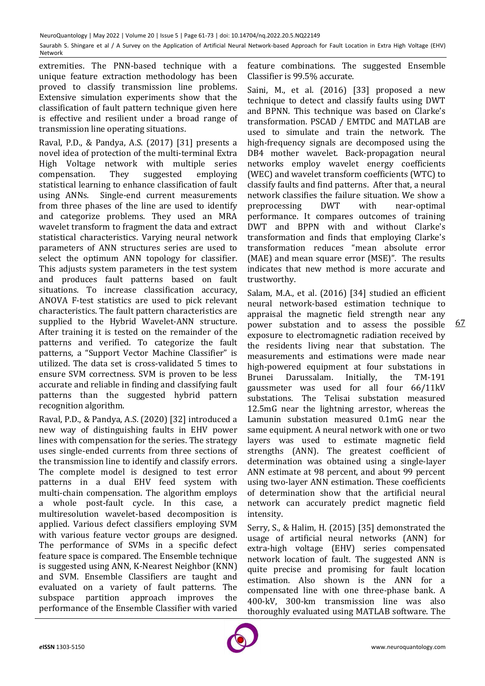extremities. The PNN-based technique with a unique feature extraction methodology has been proved to classify transmission line problems. Extensive simulation experiments show that the classification of fault pattern technique given here is effective and resilient under a broad range of transmission line operating situations.

Raval, P.D., & Pandya, A.S. (2017) [31] presents a novel idea of protection of the multi-terminal Extra High Voltage network with multiple series compensation. They suggested employing statistical learning to enhance classification of fault using ANNs. Single-end current measurements from three phases of the line are used to identify and categorize problems. They used an MRA wavelet transform to fragment the data and extract statistical characteristics. Varying neural network parameters of ANN structures series are used to select the optimum ANN topology for classifier. This adjusts system parameters in the test system and produces fault patterns based on fault situations. To increase classification accuracy, ANOVA F-test statistics are used to pick relevant characteristics. The fault pattern characteristics are supplied to the Hybrid Wavelet-ANN structure. After training it is tested on the remainder of the patterns and verified. To categorize the fault patterns, a "Support Vector Machine Classifier" is utilized. The data set is cross-validated 5 times to ensure SVM correctness. SVM is proven to be less accurate and reliable in finding and classifying fault patterns than the suggested hybrid pattern recognition algorithm.

Raval, P.D., & Pandya, A.S. (2020) [32] introduced a new way of distinguishing faults in EHV power lines with compensation for the series. The strategy uses single-ended currents from three sections of the transmission line to identify and classify errors. The complete model is designed to test error patterns in a dual EHV feed system with multi-chain compensation. The algorithm employs a whole post-fault cycle. In this case, a multiresolution wavelet-based decomposition is applied. Various defect classifiers employing SVM with various feature vector groups are designed. The performance of SVMs in a specific defect feature space is compared. The Ensemble technique is suggested using ANN, K-Nearest Neighbor (KNN) and SVM. Ensemble Classifiers are taught and evaluated on a variety of fault patterns. The subspace partition approach improves the performance of the Ensemble Classifier with varied

feature combinations. The suggested Ensemble Classifier is 99.5% accurate.

Saini, M., et al. (2016) [33] proposed a new technique to detect and classify faults using DWT and BPNN. This technique was based on Clarke's transformation. PSCAD / EMTDC and MATLAB are used to simulate and train the network. The high-frequency signals are decomposed using the DB4 mother wavelet. Back-propagation neural networks employ wavelet energy coefficients (WEC) and wavelet transform coefficients (WTC) to classify faults and find patterns. After that, a neural network classifies the failure situation. We show a preprocessing DWT with near-optimal performance. It compares outcomes of training DWT and BPPN with and without Clarke's transformation and finds that employing Clarke's transformation reduces "mean absolute error (MAE) and mean square error (MSE)". The results indicates that new method is more accurate and trustworthy.

67 Salam, M.A., et al. (2016) [34] studied an efficient neural network-based estimation technique to appraisal the magnetic field strength near any power substation and to assess the possible exposure to electromagnetic radiation received by the residents living near that substation. The measurements and estimations were made near high-powered equipment at four substations in Brunei Darussalam. Initially, the TM-191 gaussmeter was used for all four 66/11kV substations. The Telisai substation measured 12.5mG near the lightning arrestor, whereas the Lamunin substation measured 0.1mG near the same equipment. A neural network with one or two layers was used to estimate magnetic field strengths (ANN). The greatest coefficient of determination was obtained using a single-layer ANN estimate at 98 percent, and about 99 percent using two-layer ANN estimation. These coefficients of determination show that the artificial neural network can accurately predict magnetic field intensity.

Serry, S., & Halim, H. (2015) [35] demonstrated the usage of artificial neural networks (ANN) for extra-high voltage (EHV) series compensated network location of fault. The suggested ANN is quite precise and promising for fault location estimation. Also shown is the ANN for a compensated line with one three-phase bank. A 400-kV, 300-km transmission line was also thoroughly evaluated using MATLAB software. The

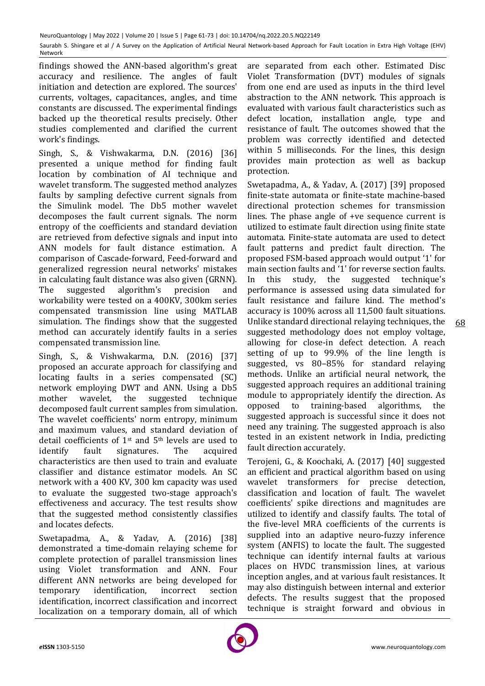findings showed the ANN-based algorithm's great accuracy and resilience. The angles of fault initiation and detection are explored. The sources' currents, voltages, capacitances, angles, and time constants are discussed. The experimental findings backed up the theoretical results precisely. Other studies complemented and clarified the current work's findings.

Singh, S., & Vishwakarma, D.N. (2016) [36] presented a unique method for finding fault location by combination of AI technique and wavelet transform. The suggested method analyzes faults by sampling defective current signals from the Simulink model. The Db5 mother wavelet decomposes the fault current signals. The norm entropy of the coefficients and standard deviation are retrieved from defective signals and input into ANN models for fault distance estimation. A comparison of Cascade-forward, Feed-forward and generalized regression neural networks' mistakes in calculating fault distance was also given (GRNN). The suggested algorithm's precision and workability were tested on a 400KV, 300km series compensated transmission line using MATLAB simulation. The findings show that the suggested method can accurately identify faults in a series compensated transmission line.

Singh, S., & Vishwakarma, D.N. (2016) [37] proposed an accurate approach for classifying and locating faults in a series compensated (SC) network employing DWT and ANN. Using a Db5 mother wavelet, the suggested technique decomposed fault current samples from simulation. The wavelet coefficients' norm entropy, minimum and maximum values, and standard deviation of detail coefficients of 1st and 5th levels are used to identify fault signatures. The acquired characteristics are then used to train and evaluate classifier and distance estimator models. An SC network with a 400 KV, 300 km capacity was used to evaluate the suggested two-stage approach's effectiveness and accuracy. The test results show that the suggested method consistently classifies and locates defects.

Swetapadma, A., & Yadav, A. (2016) [38] demonstrated a time-domain relaying scheme for complete protection of parallel transmission lines using Violet transformation and ANN. Four different ANN networks are being developed for temporary identification, incorrect section identification, incorrect classification and incorrect localization on a temporary domain, all of which

are separated from each other. Estimated Disc Violet Transformation (DVT) modules of signals from one end are used as inputs in the third level abstraction to the ANN network. This approach is evaluated with various fault characteristics such as defect location, installation angle, type and resistance of fault. The outcomes showed that the problem was correctly identified and detected within 5 milliseconds. For the lines, this design provides main protection as well as backup protection.

Swetapadma, A., & Yadav, A. (2017) [39] proposed finite-state automata or finite-state machine-based directional protection schemes for transmission lines. The phase angle of +ve sequence current is utilized to estimate fault direction using finite state automata. Finite-state automata are used to detect fault patterns and predict fault direction. The proposed FSM-based approach would output '1' for main section faults and '1' for reverse section faults. In this study, the suggested technique's performance is assessed using data simulated for fault resistance and failure kind. The method's accuracy is 100% across all 11,500 fault situations. Unlike standard directional relaying techniques, the suggested methodology does not employ voltage, allowing for close-in defect detection. A reach setting of up to 99.9% of the line length is suggested, vs 80–85% for standard relaying methods. Unlike an artificial neural network, the suggested approach requires an additional training module to appropriately identify the direction. As opposed to training-based algorithms, the suggested approach is successful since it does not need any training. The suggested approach is also tested in an existent network in India, predicting fault direction accurately.

Terojeni, G., & Koochaki, A. (2017) [40] suggested an efficient and practical algorithm based on using wavelet transformers for precise detection. classification and location of fault. The wavelet coefficients' spike directions and magnitudes are utilized to identify and classify faults. The total of the five-level MRA coefficients of the currents is supplied into an adaptive neuro-fuzzy inference system (ANFIS) to locate the fault. The suggested technique can identify internal faults at various places on HVDC transmission lines, at various inception angles, and at various fault resistances. It may also distinguish between internal and exterior defects. The results suggest that the proposed technique is straight forward and obvious in

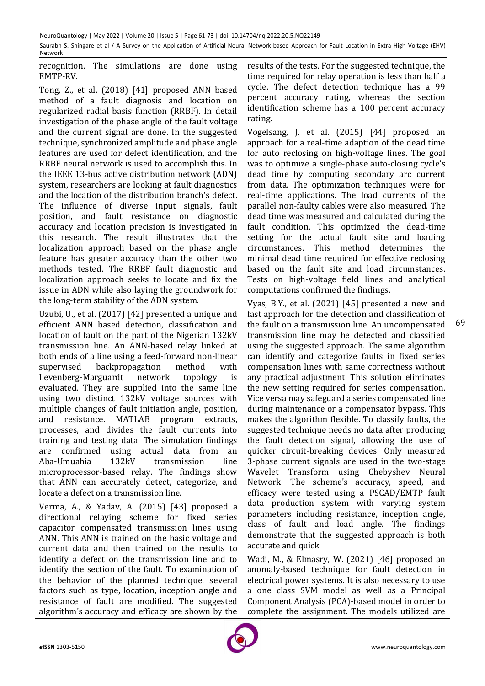recognition. The simulations are done using EMTP-RV.

Tong, Z., et al. (2018) [41] proposed ANN based method of a fault diagnosis and location on regularized radial basis function (RRBF). In detail investigation of the phase angle of the fault voltage and the current signal are done. In the suggested technique, synchronized amplitude and phase angle features are used for defect identification, and the RRBF neural network is used to accomplish this. In the IEEE 13-bus active distribution network (ADN) system, researchers are looking at fault diagnostics and the location of the distribution branch's defect. The influence of diverse input signals, fault position, and fault resistance on diagnostic accuracy and location precision is investigated in this research. The result illustrates that the localization approach based on the phase angle feature has greater accuracy than the other two methods tested. The RRBF fault diagnostic and localization approach seeks to locate and fix the issue in ADN while also laying the groundwork for the long-term stability of the ADN system.

Uzubi, U., et al. (2017) [42] presented a unique and efficient ANN based detection, classification and location of fault on the part of the Nigerian 132kV transmission line. An ANN-based relay linked at both ends of a line using a feed-forward non-linear supervised backpropagation method with Levenberg-Marguardt network topology is evaluated. They are supplied into the same line using two distinct 132kV voltage sources with multiple changes of fault initiation angle, position, and resistance. MATLAB program extracts, processes, and divides the fault currents into training and testing data. The simulation findings are confirmed using actual data from an Aba-Umuahia 132kV transmission line microprocessor-based relay. The findings show that ANN can accurately detect, categorize, and locate a defect on a transmission line.

Verma, A., & Yadav, A. (2015) [43] proposed a directional relaying scheme for fixed series capacitor compensated transmission lines using ANN. This ANN is trained on the basic voltage and current data and then trained on the results to identify a defect on the transmission line and to identify the section of the fault. To examination of the behavior of the planned technique, several factors such as type, location, inception angle and resistance of fault are modified. The suggested algorithm's accuracy and efficacy are shown by the

results of the tests. For the suggested technique, the time required for relay operation is less than half a cycle. The defect detection technique has a 99 percent accuracy rating, whereas the section identification scheme has a 100 percent accuracy rating.

Vogelsang, J. et al. (2015) [44] proposed an approach for a real-time adaption of the dead time for auto reclosing on high-voltage lines. The goal was to optimize a single-phase auto-closing cycle's dead time by computing secondary arc current from data. The optimization techniques were for real-time applications. The load currents of the parallel non-faulty cables were also measured. The dead time was measured and calculated during the fault condition. This optimized the dead-time setting for the actual fault site and loading circumstances. This method determines the minimal dead time required for effective reclosing based on the fault site and load circumstances. Tests on high-voltage field lines and analytical computations confirmed the findings.

Vyas, B.Y., et al. (2021) [45] presented a new and fast approach for the detection and classification of the fault on a transmission line. An uncompensated transmission line may be detected and classified using the suggested approach. The same algorithm can identify and categorize faults in fixed series compensation lines with same correctness without any practical adjustment. This solution eliminates the new setting required for series compensation. Vice versa may safeguard a series compensated line during maintenance or a compensator bypass. This makes the algorithm flexible. To classify faults, the suggested technique needs no data after producing the fault detection signal, allowing the use of quicker circuit-breaking devices. Only measured 3-phase current signals are used in the two-stage Wavelet Transform using Chebyshev Neural Network. The scheme's accuracy, speed, and efficacy were tested using a PSCAD/EMTP fault data production system with varying system parameters including resistance, inception angle, class of fault and load angle. The findings demonstrate that the suggested approach is both accurate and quick.

Wadi, M., & Elmasry, W. (2021) [46] proposed an anomaly-based technique for fault detection in electrical power systems. It is also necessary to use a one class SVM model as well as a Principal Component Analysis (PCA)-based model in order to complete the assignment. The models utilized are

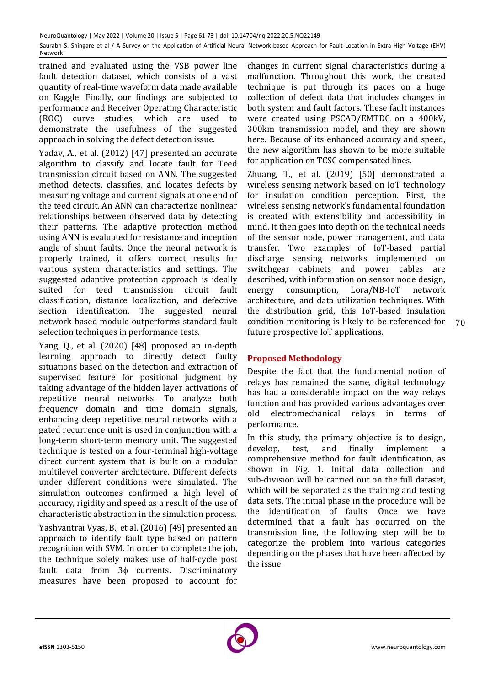trained and evaluated using the VSB power line fault detection dataset, which consists of a vast quantity of real-time waveform data made available on Kaggle. Finally, our findings are subjected to performance and Receiver Operating Characteristic (ROC) curve studies, which are used to demonstrate the usefulness of the suggested approach in solving the defect detection issue.

Yadav, A., et al. (2012) [47] presented an accurate algorithm to classify and locate fault for Teed transmission circuit based on ANN. The suggested method detects, classifies, and locates defects by measuring voltage and current signals at one end of the teed circuit. An ANN can characterize nonlinear relationships between observed data by detecting their patterns. The adaptive protection method using ANN is evaluated for resistance and inception angle of shunt faults. Once the neural network is properly trained, it offers correct results for various system characteristics and settings. The suggested adaptive protection approach is ideally suited for teed transmission circuit fault classification, distance localization, and defective section identification. The suggested neural network-based module outperforms standard fault selection techniques in performance tests.

Yang, Q., et al. (2020) [48] proposed an in-depth learning approach to directly detect faulty situations based on the detection and extraction of supervised feature for positional judgment by taking advantage of the hidden layer activations of repetitive neural networks. To analyze both frequency domain and time domain signals, enhancing deep repetitive neural networks with a gated recurrence unit is used in conjunction with a long-term short-term memory unit. The suggested technique is tested on a four-terminal high-voltage direct current system that is built on a modular multilevel converter architecture. Different defects under different conditions were simulated. The simulation outcomes confirmed a high level of accuracy, rigidity and speed as a result of the use of characteristic abstraction in the simulation process.

Yashvantrai Vyas, B., et al. (2016) [49] presented an approach to identify fault type based on pattern recognition with SVM. In order to complete the job, the technique solely makes use of half-cycle post fault data from  $3\phi$  currents. Discriminatory measures have been proposed to account for

changes in current signal characteristics during a malfunction. Throughout this work, the created technique is put through its paces on a huge collection of defect data that includes changes in both system and fault factors. These fault instances were created using PSCAD/EMTDC on a 400kV, 300km transmission model, and they are shown here. Because of its enhanced accuracy and speed, the new algorithm has shown to be more suitable for application on TCSC compensated lines.

Zhuang, T., et al. (2019) [50] demonstrated a wireless sensing network based on IoT technology for insulation condition perception. First, the wireless sensing network's fundamental foundation is created with extensibility and accessibility in mind. It then goes into depth on the technical needs of the sensor node, power management, and data transfer. Two examples of IoT-based partial discharge sensing networks implemented on switchgear cabinets and power cables are described, with information on sensor node design, energy consumption, Lora/NB-IoT network architecture, and data utilization techniques. With the distribution grid, this IoT-based insulation condition monitoring is likely to be referenced for future prospective IoT applications.

# **Proposed Methodology**

Despite the fact that the fundamental notion of relays has remained the same, digital technology has had a considerable impact on the way relays function and has provided various advantages over old electromechanical relays in terms of performance.

In this study, the primary objective is to design, develop, test, and finally implement a comprehensive method for fault identification, as shown in Fig. 1. Initial data collection and sub-division will be carried out on the full dataset, which will be separated as the training and testing data sets. The initial phase in the procedure will be the identification of faults. Once we have determined that a fault has occurred on the transmission line, the following step will be to categorize the problem into various categories depending on the phases that have been affected by the issue.

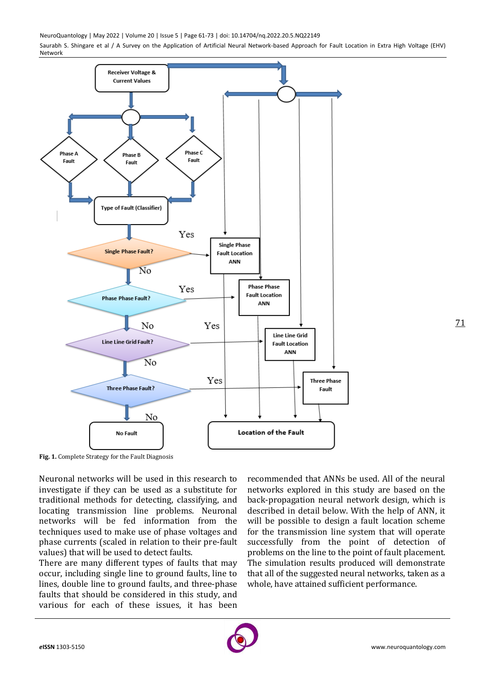NeuroQuantology | May 2022 | Volume 20 | Issue 5 | Page 61-73 | doi: 10.14704/nq.2022.20.5.NQ22149

Saurabh S. Shingare et al / A Survey on the Application of Artificial Neural Network-based Approach for Fault Location in Extra High Voltage (EHV) Network



**Fig. 1.** Complete Strategy for the Fault Diagnosis

Neuronal networks will be used in this research to investigate if they can be used as a substitute for traditional methods for detecting, classifying, and locating transmission line problems. Neuronal networks will be fed information from the techniques used to make use of phase voltages and phase currents (scaled in relation to their pre-fault values) that will be used to detect faults.

There are many different types of faults that may occur, including single line to ground faults, line to lines, double line to ground faults, and three-phase faults that should be considered in this study, and various for each of these issues, it has been

recommended that ANNs be used. All of the neural networks explored in this study are based on the back-propagation neural network design, which is described in detail below. With the help of ANN, it will be possible to design a fault location scheme for the transmission line system that will operate successfully from the point of detection of problems on the line to the point of fault placement. The simulation results produced will demonstrate that all of the suggested neural networks, taken as a whole, have attained sufficient performance.

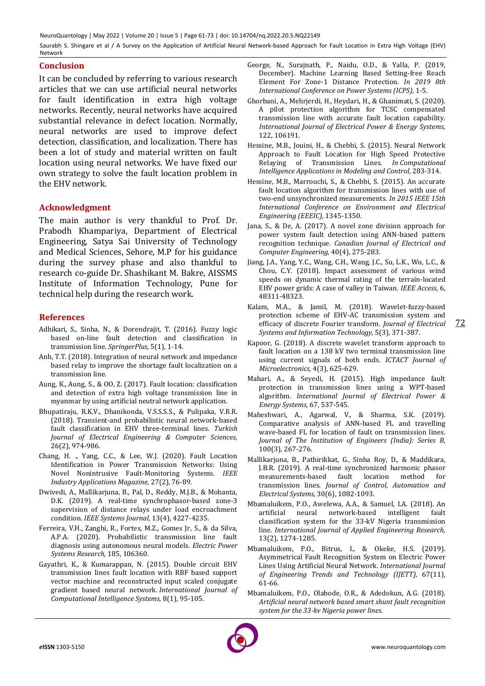## **Conclusion**

It can be concluded by referring to various research articles that we can use artificial neural networks for fault identification in extra high voltage networks. Recently, neural networks have acquired substantial relevance in defect location. Normally, neural networks are used to improve defect detection, classification, and localization. There has been a lot of study and material written on fault location using neural networks. We have fixed our own strategy to solve the fault location problem in the EHV network.

## **Acknowledgment**

The main author is very thankful to Prof. Dr. Prabodh Khampariya, Department of Electrical Engineering, Satya Sai University of Technology and Medical Sciences, Sehore, M.P for his guidance during the survey phase and also thankful to research co-guide Dr. Shashikant M. Bakre, AISSMS Institute of Information Technology, Pune for technical help during the research work.

## **References**

- Adhikari, S., Sinha, N., & Dorendrajit, T. (2016). Fuzzy logic based on-line fault detection and classification in transmission line. *SpringerPlus,* 5(1), 1-14.
- Anh, T.T. (2018). Integration of neural network and impedance based relay to improve the shortage fault localization on a transmission line.
- Aung, K., Aung, S., & OO, Z. (2017). Fault location: classification and detection of extra high voltage transmission line in myanmar by using artificial neutral network application.
- Bhupatiraju, R.K.V., Dhanikonda, V.S.S.S.S., & Pulipaka, V.R.R. (2018). Transient-and probabilistic neural network-based fault classification in EHV three-terminal lines. *Turkish Journal of Electrical Engineering & Computer Sciences,* 26(2), 974-986.
- Chang, H. ., Yang, C.C., & Lee, W.J. (2020). Fault Location Identification in Power Transmission Networks: Using Novel Nonintrusive Fault-Monitoring Systems. *IEEE Industry Applications Magazine,* 27(2), 76-89.
- Dwivedi, A., Mallikarjuna, B., Pal, D., Reddy, M.J.B., & Mohanta, D.K. (2019). A real-time synchrophasor-based zone-3 supervision of distance relays under load encroachment condition. *IEEE Systems Journal,* 13(4), 4227-4235.
- Ferreira, V.H., Zanghi, R., Fortes, M.Z., Gomes Jr, S., & da Silva, A.P.A. (2020). Probabilistic transmission line fault diagnosis using autonomous neural models. *Electric Power Systems Research,* 185, 106360.
- Gayathri, K., & Kumarappan, N. (2015). Double circuit EHV transmission lines fault location with RBF based support vector machine and reconstructed input scaled conjugate gradient based neural network. *International Journal of Computational Intelligence Systems,* 8(1), 95-105.
- George, N., Surajnath, P., Naidu, O.D., & Yalla, P. (2019, December). Machine Learning Based Setting-free Reach Element For Zone-1 Distance Protection. *In 2019 8th International Conference on Power Systems (ICPS),* 1-5.
- Ghorbani, A., Mehrjerdi, H., Heydari, H., & Ghanimati, S. (2020). A pilot protection algorithm for TCSC compensated transmission line with accurate fault location capability. *International Journal of Electrical Power & Energy Systems,* 122, 106191.
- Hessine, M.B., Jouini, H., & Chebbi, S. (2015). Neural Network Approach to Fault Location for High Speed Protective Relaying of Transmission Lines. *In Computational Intelligence Applications in Modeling and Control,* 283-314.
- Hessine, M.B., Marrouchi, S., & Chebbi, S. (2015). An accurate fault location algorithm for transmission lines with use of two-end unsynchronized measurements. *In 2015 IEEE 15th International Conference on Environment and Electrical Engineering (EEEIC),* 1345-1350.
- Jana, S., & De, A. (2017). A novel zone division approach for power system fault detection using ANN-based pattern recognition technique. *Canadian Journal of Electrical and Computer Engineering,* 40(4), 275-283.
- Jiang, J.A., Yang, Y.C., Wang, C.H., Wang, J.C., Su, L.K., Wu, L.C., & Chou, C.Y. (2018). Impact assessment of various wind speeds on dynamic thermal rating of the terrain-located EHV power grids: A case of valley in Taiwan. *IEEE Access,* 6, 48311-48323.
- Kalam, M.A., & Jamil, M. (2018). Wavelet-fuzzy-based protection scheme of EHV-AC transmission system and efficacy of discrete Fourier transform. *Journal of Electrical Systems and Information Technology,* 5(3), 371-387.

72

- Kapoor, G. (2018). A discrete wavelet transform approach to fault location on a 138 kV two terminal transmission line using current signals of both ends. *ICTACT Journal of Microelectronics,* 4(3), 625-629.
- Mahari, A., & Seyedi, H. (2015). High impedance fault protection in transmission lines using a WPT-based algorithm. *International Journal of Electrical Power & Energy Systems,* 67, 537-545.
- Maheshwari, A., Agarwal, V., & Sharma, S.K. (2019). Comparative analysis of ANN-based FL and travelling wave-based FL for location of fault on transmission lines. *Journal of The Institution of Engineers (India): Series B,* 100(3), 267-276.
- Mallikarjuna, B., Pathirikkat, G., Sinha Roy, D., & Maddikara, J.B.R. (2019). A real-time synchronized harmonic phasor measurements-based fault location method for transmission lines. *Journal of Control, Automation and Electrical Systems,* 30(6), 1082-1093.
- Mbamaluikem, P.O., Awelewa, A.A., & Samuel, I.A. (2018). An artificial neural network-based intelligent fault classification system for the 33-kV Nigeria transmission line. *International Journal of Applied Engineering Research,* 13(2), 1274-1285.
- Mbamaluikem, P.O., Bitrus, I., & Okeke, H.S. (2019). Asymmetrical Fault Recognition System on Electric Power Lines Using Artificial Neural Network. *International Journal of Engineering Trends and Technology (IJETT),* 67(11), 61-66.
- Mbamaluikem, P.O., Olabode, O.R., & Adedokun, A.G. (2018). *Artificial neural network based smart shunt fault recognition system for the 33-kv Nigeria power lines.*